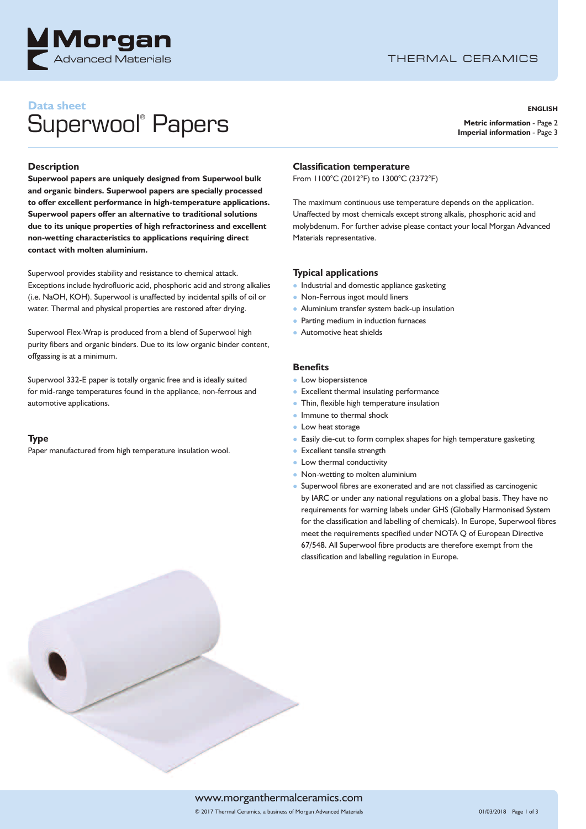

# **Data sheet** Superwool ® Papers

**ENGLISH**

**Metric information** - Page 2 **Imperial information** - Page 3

## **Description**

**Superwool papers are uniquely designed from Superwool bulk and organic binders. Superwool papers are specially processed to offer excellent performance in high-temperature applications. Superwool papers offer an alternative to traditional solutions due to its unique properties of high refractoriness and excellent non-wetting characteristics to applications requiring direct contact with molten aluminium.**

Superwool provides stability and resistance to chemical attack. Exceptions include hydrofluoric acid, phosphoric acid and strong alkalies (i.e. NaOH, KOH). Superwool is unaffected by incidental spills of oil or water. Thermal and physical properties are restored after drying.

Superwool Flex-Wrap is produced from a blend of Superwool high purity fibers and organic binders. Due to its low organic binder content, offgassing is at a minimum.

Superwool 332-E paper is totally organic free and is ideally suited for mid-range temperatures found in the appliance, non-ferrous and automotive applications.

## **Type**

Paper manufactured from high temperature insulation wool.

### **Classification temperature**

From 1100°C (2012°F) to 1300°C (2372°F)

The maximum continuous use temperature depends on the application. Unaffected by most chemicals except strong alkalis, phosphoric acid and molybdenum. For further advise please contact your local Morgan Advanced Materials representative.

### **Typical applications**

- l Industrial and domestic appliance gasketing
- Non-Ferrous ingot mould liners
- l Aluminium transfer system back-up insulation
- Parting medium in induction furnaces
- Automotive heat shields

### **Benefits**

- **Low biopersistence**
- Excellent thermal insulating performance
- Thin, flexible high temperature insulation
- Immune to thermal shock
- Low heat storage
- Easily die-cut to form complex shapes for high temperature gasketing
- $\bullet$  Excellent tensile strength
- $\bullet$  Low thermal conductivity
- Non-wetting to molten aluminium
- Superwool fibres are exonerated and are not classified as carcinogenic by IARC or under any national regulations on a global basis. They have no requirements for warning labels under GHS (Globally Harmonised System for the classification and labelling of chemicals). In Europe, Superwool fibres meet the requirements specified under NOTA Q of European Directive 67/548. All Superwool fibre products are therefore exempt from the classification and labelling regulation in Europe.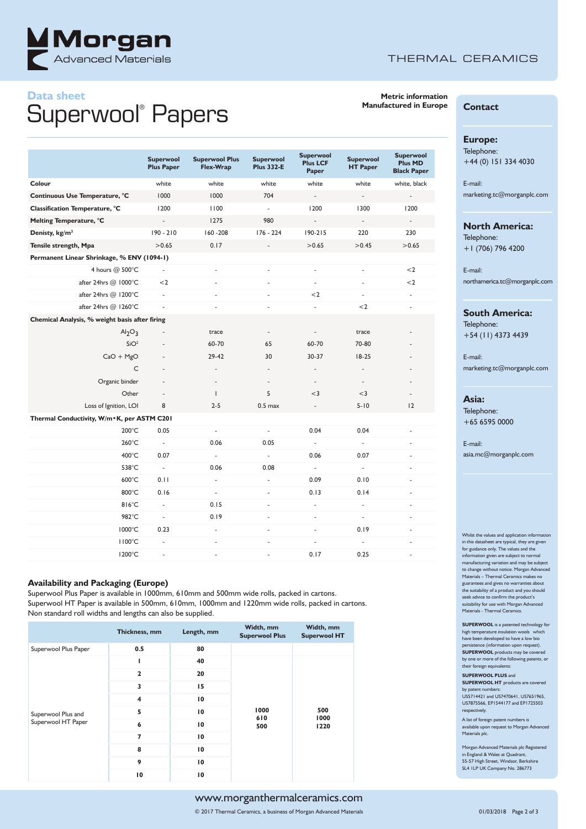

## THERMAL CERAMICS

# **Data sheet** Superwool ® Papers

**Metric information Manufactured in Europe**

## **Contact**

#### **Europe:**

Telephone: +44 (0) 151 334 4030

E-mail: marketing.tc@morganplc.com

## **North America:**

Telephone: +1 (706) 796 4200

#### E-mail:

northamerica.tc@morganplc.com

#### **South America:**

Telephone: +54 (11) 4373 4439

## E-mail:

marketing.tc@morganplc.com

#### **Asia:**

Telephone: +65 6595 0000

## E-mail: asia.mc@morganplc.com

Whilst the values and application inform in this datasheet are typical, they are given for guidance only. The values and the information given are subject to normal manufacturing variation and may be subject to change without notice. Morgan Advanced Materials – Thermal Ceramics makes no guarantees and gives no warranties about the suitability of a product and you should seek advice to confirm the product's suitability for use with Morgan Advanced Materials - Thermal Ceramics.

**SUPERWOOL** is a patented technology for high temperature insulation wools which have been developed to have a low bio persistence (information upon request). **SUPERWOOL** products may be covered by one or more of the following patents, or their foreign equiv

## **SUPERWOOL PLUS** and

**SUPERWOOL HT** products are covered by patent numbers: US5714421 and US7470641, US7651965, US7875566, EP1544177 and EP1725503

respectively. A list of foreign patent numbers is available upon request to Morgan Advanced Materials plc.

Morgan Advanced Materials plc Registered in England & Wales at Quadrant, 55-57 High Street, Windsor, Berkshire SL4 1LP UK Company No. 286773

|                                                | <b>Superwool</b><br><b>Plus Paper</b> | <b>Superwool Plus</b><br><b>Flex-Wrap</b> | <b>Superwool</b><br><b>Plus 332-E</b> | <b>Superwool</b><br><b>Plus LCF</b><br>Paper | <b>Superwool</b><br><b>HT Paper</b> | <b>Superwool</b><br><b>Plus MD</b><br><b>Black Paper</b> |
|------------------------------------------------|---------------------------------------|-------------------------------------------|---------------------------------------|----------------------------------------------|-------------------------------------|----------------------------------------------------------|
| Colour                                         | white                                 | white                                     | white                                 | white                                        | white                               | white, black                                             |
| Continuous Use Temperature, °C                 | 1000                                  | 1000                                      | 704                                   | $\blacksquare$                               | $\overline{\phantom{a}}$            | $\frac{1}{2}$                                            |
| Classification Temperature, °C                 | 1200                                  | 1100                                      | $\overline{\phantom{a}}$              | 1200                                         | 1300                                | 1200                                                     |
| Melting Temperature, °C                        | $\sim$                                | 1275                                      | 980                                   | $\blacksquare$                               | $\overline{\phantom{a}}$            | $\overline{\phantom{a}}$                                 |
| Denisty, kg/m <sup>3</sup>                     | $190 - 210$                           | 160-208                                   | $176 - 224$                           | $190 - 215$                                  | 220                                 | 230                                                      |
| Tensile strength, Mpa                          | >0.65                                 | 0.17                                      |                                       | >0.65                                        | >0.45                               | >0.65                                                    |
| Permanent Linear Shrinkage, % ENV (1094-1)     |                                       |                                           |                                       |                                              |                                     |                                                          |
| 4 hours @ 500°C                                | ÷,                                    | $\frac{1}{2}$                             | ÷,                                    | ä,                                           | ä,                                  | $<$ 2                                                    |
| after 24hrs @ 1000°C                           | $<$ 2                                 | $\overline{\phantom{a}}$                  | ä,                                    | ä,                                           | ä,                                  | $<$ 2                                                    |
| after 24hrs @ 1200°C                           | ÷.                                    | $\blacksquare$                            | $\blacksquare$                        | $<$ 2                                        | $\overline{\phantom{a}}$            | $\overline{\phantom{a}}$                                 |
| after 24hrs @ 1260°C                           | ÷,                                    | ÷,                                        | ä,                                    |                                              | $<$ 2                               | ÷,                                                       |
| Chemical Analysis, % weight basis after firing |                                       |                                           |                                       |                                              |                                     |                                                          |
| Al <sub>2</sub> O <sub>3</sub>                 |                                       | trace                                     | $\overline{\phantom{a}}$              |                                              | trace                               |                                                          |
| SiO <sup>2</sup>                               |                                       | 60-70                                     | 65                                    | 60-70                                        | 70-80                               |                                                          |
| $CaO + MgO$                                    |                                       | 29-42                                     | 30                                    | $30 - 37$                                    | $18-25$                             |                                                          |
| C                                              | ٠                                     | ٠                                         | ٠                                     | ٠                                            | $\overline{\phantom{a}}$            |                                                          |
| Organic binder                                 | $\overline{a}$                        | $\overline{\phantom{a}}$                  | $\overline{\phantom{a}}$              | $\overline{\phantom{a}}$                     | $\overline{\phantom{0}}$            |                                                          |
| Other                                          | ä,                                    | $\mathbf{L}$                              | 5                                     | $<$ 3                                        | $<$ 3                               |                                                          |
| Loss of Ignition, LOI                          | 8                                     | $2 - 5$                                   | $0.5$ max                             | $\overline{\phantom{0}}$                     | $5 - 10$                            | 12                                                       |
| Thermal Conductivity, W/m · K, per ASTM C201   |                                       |                                           |                                       |                                              |                                     |                                                          |
| $200^{\circ}$ C                                | 0.05                                  | ÷,                                        | ä,                                    | 0.04                                         | 0.04                                |                                                          |
| $260^{\circ}$ C                                | ÷,                                    | 0.06                                      | 0.05                                  | ÷,                                           | ÷,                                  | $\sim$                                                   |
| 400°C                                          | 0.07                                  | ä,                                        | $\overline{\phantom{a}}$              | 0.06                                         | 0.07                                |                                                          |
| 538°C                                          | $\omega$                              | 0.06                                      | 0.08                                  | $\sim$                                       | ÷.                                  | ٠                                                        |
| $600^{\circ}$ C                                | 0.11                                  | ÷.                                        | $\omega$                              | 0.09                                         | 0.10                                | ä,                                                       |
| 800°C                                          | 0.16                                  | $\overline{\phantom{a}}$                  | ä,                                    | 0.13                                         | 0.14                                |                                                          |
| 816°C                                          | $\sim$                                | 0.15                                      | $\overline{\phantom{a}}$              | $\overline{\phantom{a}}$                     | $\overline{\phantom{a}}$            | ä,                                                       |
| 982°C                                          | ÷.                                    | 0.19                                      | ä,                                    | ä,                                           | ä,                                  |                                                          |
| 1000°C                                         | 0.23                                  | ÷.                                        | ä,                                    | ä,                                           | 0.19                                | ä,                                                       |
|                                                |                                       |                                           |                                       |                                              |                                     |                                                          |

## **Availability and Packaging (Europe)**

Superwool Plus Paper is available in 1000mm, 610mm and 500mm wide rolls, packed in cartons. Superwool HT Paper is available in 500mm, 610mm, 1000mm and 1220mm wide rolls, packed in cartons. Non standard roll widths and lengths can also be supplied.

|                                          | Thickness, mm           | Length, mm      | Width, mm<br><b>Superwool Plus</b> | Width, mm<br><b>Superwool HT</b> |  |
|------------------------------------------|-------------------------|-----------------|------------------------------------|----------------------------------|--|
| Superwool Plus Paper                     | 0.5                     | 80              |                                    |                                  |  |
| Superwool Plus and<br>Superwool HT Paper | ı                       | 40              |                                    |                                  |  |
|                                          | $\overline{\mathbf{z}}$ | 20              |                                    | 500<br>1000<br>1220              |  |
|                                          | 3                       | 15              |                                    |                                  |  |
|                                          | $\overline{4}$          | $\overline{10}$ |                                    |                                  |  |
|                                          | 5                       | $\overline{10}$ | 1000<br>610                        |                                  |  |
|                                          | 6                       | $\overline{10}$ | 500                                |                                  |  |
|                                          | 7                       | 10              |                                    |                                  |  |
|                                          | 8                       | 10              |                                    |                                  |  |
|                                          | 9                       | 10              |                                    |                                  |  |
|                                          | 10                      | $\overline{10}$ |                                    |                                  |  |

1100°C - - - - - - 1200°C - - - 0.17 0.25 -

© 2017 Thermal Ceramics, a business of Morgan Advanced Materials 01/03/2018 Page 2 of 3